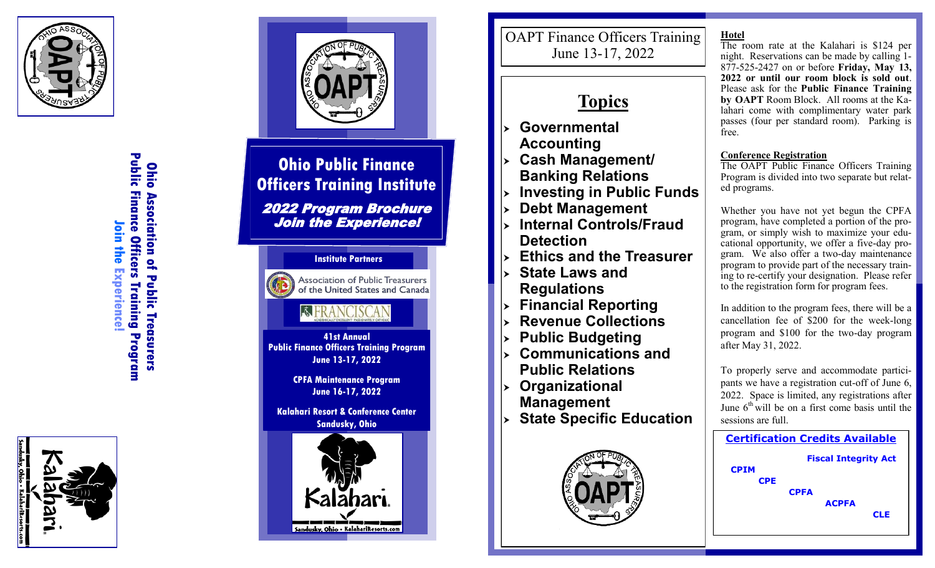

Public Finance Officers Training Program **Public Finance Officers Training Program Ohiio Ohio Association of Public Treasurers Association of Public Treasurers Join the Experience!**  $\bar{\bullet}$ in the Experience





# **Ohio Public Finance Officers Training Institute**

2022 Program Brochure Join the Experience!



**41st Annual Public Finance Officers Training Program June 13-17, 2022** 

> **CPFA Maintenance Program June 16-17, 2022**

**Kalahari Resort & Conference Center Sandusky, Ohio** 



OAPT Finance Officers Training June 13 -17, 2022

# **Topics**

- **Governmental Accounting**
- **Cash Management/ Banking Relations**
- **Investing in Public Funds**
- **Debt Management**
- **Internal Controls/Fraud Detection**
- **Ethics and the Treasurer**
- **State Laws and Regulations**
- **Financial Reporting**
- **Revenue Collections**
- **Public Budgeting**
- **Communications and Public Relations**
- **Organizational Management**
- **State Specific Education**



**Hotel**

The room rate at the Kalahari is \$124 per night. Reservations can be made by calling 1 - 877 -525 -2427 on or before **Friday, May 13, 2022 or until our room block is sold out**. Please ask for the **Public Finance Training by OAPT** Room Block. All rooms at the Kalahari come with complimentary water park passes (four per standard room). Parking is free.

# **Conference Registration**

The OAPT Public Finance Officers Training Program is divided into two separate but related programs.

Whether you have not yet begun the CPFA program, have completed a portion of the program, or simply wish to maximize your educational opportunity, we offer a five-day program. We also offer a two-day maintenance program to provide part of the necessary training to re-certify your designation. Please refer to the registration form for program fees.

In addition to the program fees, there will be a cancellation fee of \$200 for the week -long program and \$100 for the two -day program after May 31, 2022.

To properly serve and accommodate participants we have a registration cut-off of June 6, 2022. Space is limited, any registrations after June  $6<sup>th</sup>$  will be on a first come basis until the sessions are full.